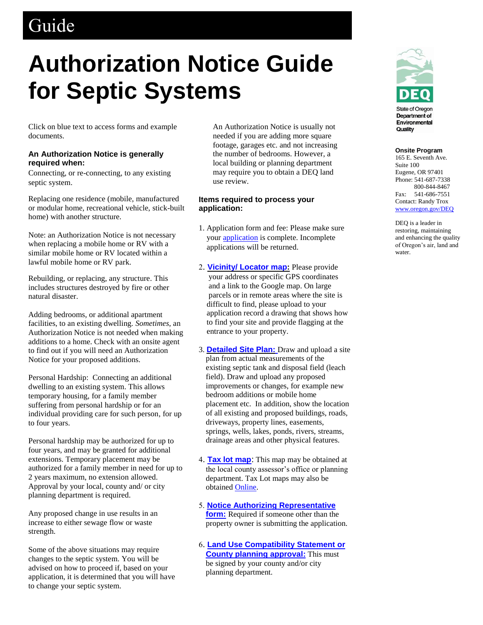# Guide

# **Authorization Notice Guide for Septic Systems**

Click on blue text to access forms and example documents.

# **An Authorization Notice is generally required when:**

Connecting, or re-connecting, to any existing septic system.

Replacing one residence (mobile, manufactured or modular home, recreational vehicle, stick-built home) with another structure.

Note: an Authorization Notice is not necessary when replacing a mobile home or RV with a similar mobile home or RV located within a lawful mobile home or RV park.

Rebuilding, or replacing, any structure. This includes structures destroyed by fire or other natural disaster.

Adding bedrooms, or additional apartment facilities, to an existing dwelling. *Sometimes*, an Authorization Notice is not needed when making additions to a home. Check with an onsite agent to find out if you will need an Authorization Notice for your proposed additions.

Personal Hardship: Connecting an additional dwelling to an existing system. This allows temporary housing, for a family member suffering from personal hardship or for an individual providing care for such person, for up to four years.

Personal hardship may be authorized for up to four years, and may be granted for additional extensions. Temporary placement may be authorized for a family member in need for up to 2 years maximum, no extension allowed. Approval by your local, county and/ or city planning department is required.

Any proposed change in use results in an increase to either sewage flow or waste strength.

Some of the above situations may require changes to the septic system. You will be advised on how to proceed if, based on your application, it is determined that you will have to change your septic system.

An Authorization Notice is usually not needed if you are adding more square footage, garages etc. and not increasing the number of bedrooms. However, a local building or planning department may require you to obtain a DEQ land use review.

# **Items required to process your application:**

- 1. Application form and fee: Please make sure your [application](https://aca.oregon.accela.com/oregon/) is complete. Incomplete applications will be returned.
- 2. **[Vicinity/ Locator map:](http://www.ormap.net/)** Please provide your address or specific GPS coordinates and a link to the Google map. On large parcels or in remote areas where the site is difficult to find, please upload to your application record a drawing that shows how to find your site and provide flagging at the entrance to your property.
- 3. **[Detailed Site Plan:](http://www.oregon.gov/deq/FilterDocs/os-detsiteplan.pdf)** Draw and upload a site plan from actual measurements of the existing septic tank and disposal field (leach field). Draw and upload any proposed improvements or changes, for example new bedroom additions or mobile home placement etc. In addition, show the location of all existing and proposed buildings, roads, driveways, property lines, easements, springs, wells, lakes, ponds, rivers, streams, drainage areas and other physical features.
- 4. **[Tax lot map](http://www.ormap.net/)**: This map may be obtained at the local county assessor's office or planning department. Tax Lot maps may also be obtained [Online.](http://www.ormap.net/)
- 5. **[Notice Authorizing Representative](http://www.oregon.gov/deq/FilterDocs/os-AuthRep.pdf)  [form:](http://www.oregon.gov/deq/FilterDocs/os-AuthRep.pdf)** Required if someone other than the property owner is submitting the application.
- 6. **[Land Use Compatibility Statement](http://www.oregon.gov/deq/FilterDocs/onsitelucs.pdf) or [County planning approval:](http://www.oregon.gov/deq/FilterDocs/onsitelucs.pdf)** This must be signed by your county and/or city planning department.



#### **Onsite Program**

165 E. Seventh Ave. Suite 100 Eugene, OR 97401 Phone: 541-687-7338 800-844-8467 Fax: 541-686-7551 Contact: Randy Trox [www.oregon.gov/DEQ](http://www.oregon.gov/DEQ)

DEQ is a leader in restoring, maintaining and enhancing the quality of Oregon's air, land and water.